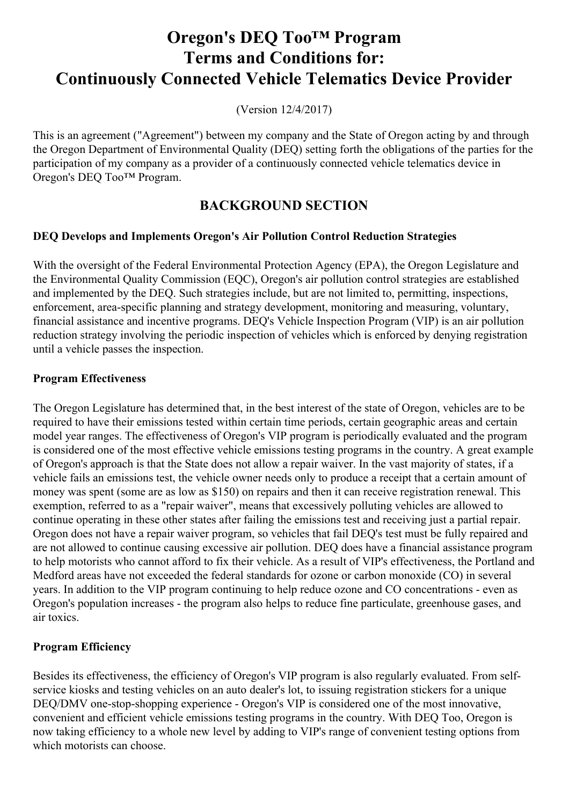# **Oregon's DEQ Too™ Program Terms and Conditions for: Continuously Connected Vehicle Telematics Device Provider**

(Version 12/4/2017)

This is an agreement ("Agreement") between my company and the State of Oregon acting by and through the Oregon Department of Environmental Quality (DEQ) setting forth the obligations of the parties for the participation of my company as a provider of a continuously connected vehicle telematics device in Oregon's DEQ Too™ Program.

# **BACKGROUND SECTION**

#### **DEQ Develops and Implements Oregon's Air Pollution Control Reduction Strategies**

With the oversight of the Federal Environmental Protection Agency (EPA), the Oregon Legislature and the Environmental Quality Commission (EQC), Oregon's air pollution control strategies are established and implemented by the DEQ. Such strategies include, but are not limited to, permitting, inspections, enforcement, area-specific planning and strategy development, monitoring and measuring, voluntary, financial assistance and incentive programs. DEQ's Vehicle Inspection Program (VIP) is an air pollution reduction strategy involving the periodic inspection of vehicles which is enforced by denying registration until a vehicle passes the inspection.

#### **Program Effectiveness**

The Oregon Legislature has determined that, in the best interest of the state of Oregon, vehicles are to be required to have their emissions tested within certain time periods, certain geographic areas and certain model year ranges. The effectiveness of Oregon's VIP program is periodically evaluated and the program is considered one of the most effective vehicle emissions testing programs in the country. A great example of Oregon's approach is that the State does not allow a repair waiver. In the vast majority of states, if a vehicle fails an emissions test, the vehicle owner needs only to produce a receipt that a certain amount of money was spent (some are as low as \$150) on repairs and then it can receive registration renewal. This exemption, referred to as a "repair waiver", means that excessively polluting vehicles are allowed to continue operating in these other states after failing the emissions test and receiving just a partial repair. Oregon does not have a repair waiver program, so vehicles that fail DEQ's test must be fully repaired and are not allowed to continue causing excessive air pollution. DEQ does have a financial assistance program to help motorists who cannot afford to fix their vehicle. As a result of VIP's effectiveness, the Portland and Medford areas have not exceeded the federal standards for ozone or carbon monoxide (CO) in several years. In addition to the VIP program continuing to help reduce ozone and CO concentrations - even as Oregon's population increases - the program also helps to reduce fine particulate, greenhouse gases, and air toxics.

#### **Program Efficiency**

Besides its effectiveness, the efficiency of Oregon's VIP program is also regularly evaluated. From selfservice kiosks and testing vehicles on an auto dealer's lot, to issuing registration stickers for a unique DEQ/DMV one-stop-shopping experience - Oregon's VIP is considered one of the most innovative, convenient and efficient vehicle emissions testing programs in the country. With DEQ Too, Oregon is now taking efficiency to a whole new level by adding to VIP's range of convenient testing options from which motorists can choose.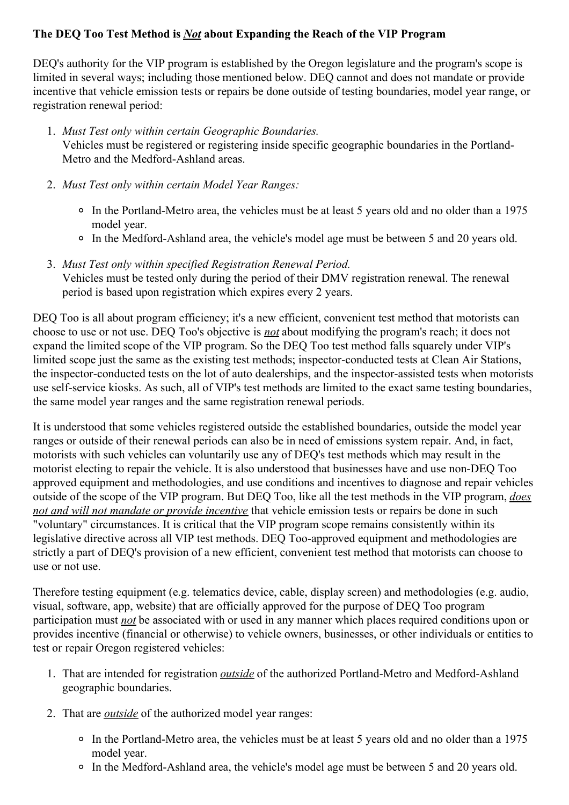#### **The DEQ Too Test Method is** *Not* **about Expanding the Reach of the VIP Program**

DEQ's authority for the VIP program is established by the Oregon legislature and the program's scope is limited in several ways; including those mentioned below. DEQ cannot and does not mandate or provide incentive that vehicle emission tests or repairs be done outside of testing boundaries, model year range, or registration renewal period:

- 1. *Must Test only within certain Geographic Boundaries.* Vehicles must be registered or registering inside specific geographic boundaries in the Portland-Metro and the Medford-Ashland areas.
- 2. *Must Test only within certain Model Year Ranges:*
	- In the Portland-Metro area, the vehicles must be at least 5 years old and no older than a 1975 model year.
	- In the Medford-Ashland area, the vehicle's model age must be between 5 and 20 years old.
- 3. *Must Test only within specified Registration Renewal Period.* Vehicles must be tested only during the period of their DMV registration renewal. The renewal period is based upon registration which expires every 2 years.

DEQ Too is all about program efficiency; it's a new efficient, convenient test method that motorists can choose to use or not use. DEQ Too's objective is *not* about modifying the program's reach; it does not expand the limited scope of the VIP program. So the DEQ Too test method falls squarely under VIP's limited scope just the same as the existing test methods; inspector-conducted tests at Clean Air Stations, the inspector-conducted tests on the lot of auto dealerships, and the inspector-assisted tests when motorists use self-service kiosks. As such, all of VIP's test methods are limited to the exact same testing boundaries, the same model year ranges and the same registration renewal periods.

It is understood that some vehicles registered outside the established boundaries, outside the model year ranges or outside of their renewal periods can also be in need of emissions system repair. And, in fact, motorists with such vehicles can voluntarily use any of DEQ's test methods which may result in the motorist electing to repair the vehicle. It is also understood that businesses have and use non-DEQ Too approved equipment and methodologies, and use conditions and incentives to diagnose and repair vehicles outside of the scope of the VIP program. But DEQ Too, like all the test methods in the VIP program, *does not and will not mandate or provide incentive* that vehicle emission tests or repairs be done in such "voluntary" circumstances. It is critical that the VIP program scope remains consistently within its legislative directive across all VIP test methods. DEQ Too-approved equipment and methodologies are strictly a part of DEQ's provision of a new efficient, convenient test method that motorists can choose to use or not use.

Therefore testing equipment (e.g. telematics device, cable, display screen) and methodologies (e.g. audio, visual, software, app, website) that are officially approved for the purpose of DEQ Too program participation must *not* be associated with or used in any manner which places required conditions upon or provides incentive (financial or otherwise) to vehicle owners, businesses, or other individuals or entities to test or repair Oregon registered vehicles:

- 1. That are intended for registration *outside* of the authorized Portland-Metro and Medford-Ashland geographic boundaries.
- 2. That are *outside* of the authorized model year ranges:
	- In the Portland-Metro area, the vehicles must be at least 5 years old and no older than a 1975 model year.
	- In the Medford-Ashland area, the vehicle's model age must be between 5 and 20 years old.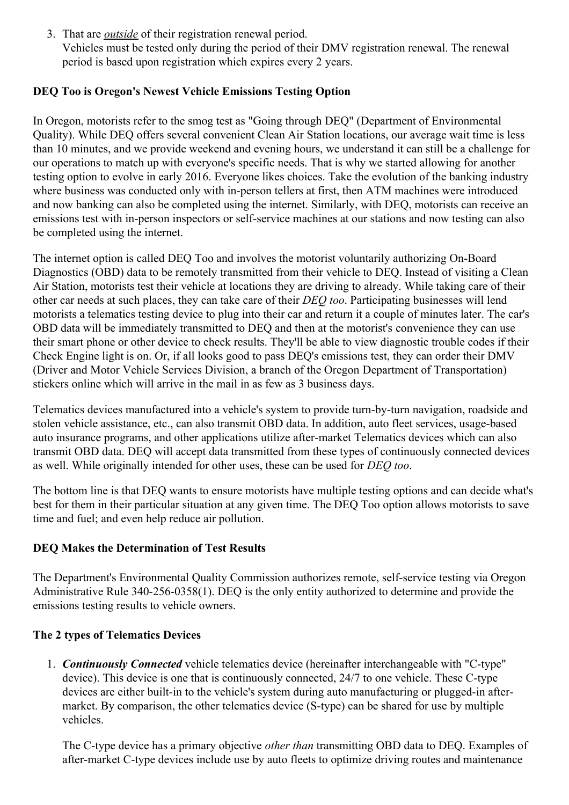3. That are *outside* of their registration renewal period. Vehicles must be tested only during the period of their DMV registration renewal. The renewal period is based upon registration which expires every 2 years.

#### **DEQ Too is Oregon's Newest Vehicle Emissions Testing Option**

In Oregon, motorists refer to the smog test as "Going through DEQ" (Department of Environmental Quality). While DEQ offers several convenient Clean Air Station locations, our average wait time is less than 10 minutes, and we provide weekend and evening hours, we understand it can still be a challenge for our operations to match up with everyone's specific needs. That is why we started allowing for another testing option to evolve in early 2016. Everyone likes choices. Take the evolution of the banking industry where business was conducted only with in-person tellers at first, then ATM machines were introduced and now banking can also be completed using the internet. Similarly, with DEQ, motorists can receive an emissions test with in-person inspectors or self-service machines at our stations and now testing can also be completed using the internet.

The internet option is called DEQ Too and involves the motorist voluntarily authorizing On-Board Diagnostics (OBD) data to be remotely transmitted from their vehicle to DEQ. Instead of visiting a Clean Air Station, motorists test their vehicle at locations they are driving to already. While taking care of their other car needs at such places, they can take care of their *DEQ too*. Participating businesses will lend motorists a telematics testing device to plug into their car and return it a couple of minutes later. The car's OBD data will be immediately transmitted to DEQ and then at the motorist's convenience they can use their smart phone or other device to check results. They'll be able to view diagnostic trouble codes if their Check Engine light is on. Or, if all looks good to pass DEQ's emissions test, they can order their DMV (Driver and Motor Vehicle Services Division, a branch of the Oregon Department of Transportation) stickers online which will arrive in the mail in as few as 3 business days.

Telematics devices manufactured into a vehicle's system to provide turn-by-turn navigation, roadside and stolen vehicle assistance, etc., can also transmit OBD data. In addition, auto fleet services, usage-based auto insurance programs, and other applications utilize after-market Telematics devices which can also transmit OBD data. DEQ will accept data transmitted from these types of continuously connected devices as well. While originally intended for other uses, these can be used for *DEQ too*.

The bottom line is that DEQ wants to ensure motorists have multiple testing options and can decide what's best for them in their particular situation at any given time. The DEQ Too option allows motorists to save time and fuel; and even help reduce air pollution.

## **DEQ Makes the Determination of Test Results**

The Department's Environmental Quality Commission authorizes remote, self-service testing via Oregon Administrative Rule 340-256-0358(1). DEQ is the only entity authorized to determine and provide the emissions testing results to vehicle owners.

#### **The 2 types of Telematics Devices**

1. *Continuously Connected* vehicle telematics device (hereinafter interchangeable with "C-type" device). This device is one that is continuously connected, 24/7 to one vehicle. These C-type devices are either built-in to the vehicle's system during auto manufacturing or plugged-in aftermarket. By comparison, the other telematics device (S-type) can be shared for use by multiple vehicles.

The C-type device has a primary objective *other than* transmitting OBD data to DEQ. Examples of after-market C-type devices include use by auto fleets to optimize driving routes and maintenance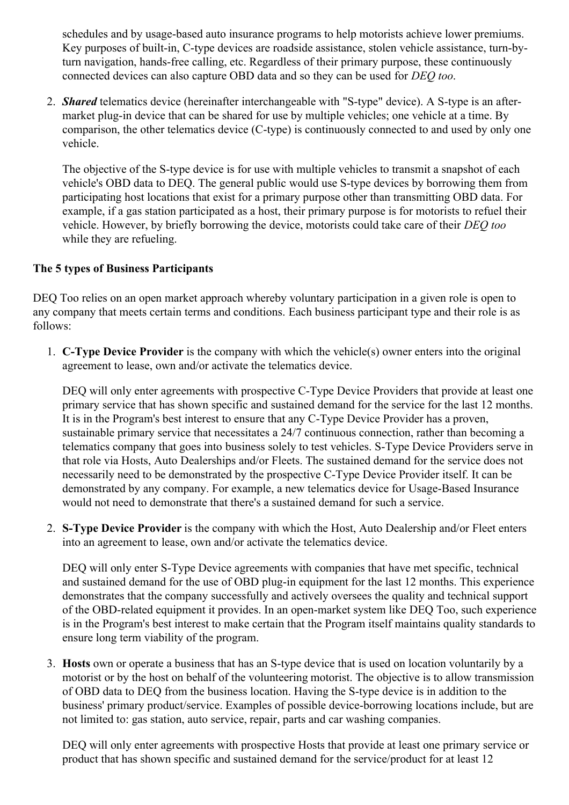schedules and by usage-based auto insurance programs to help motorists achieve lower premiums. Key purposes of built-in, C-type devices are roadside assistance, stolen vehicle assistance, turn-byturn navigation, hands-free calling, etc. Regardless of their primary purpose, these continuously connected devices can also capture OBD data and so they can be used for *DEQ too*.

2. *Shared* telematics device (hereinafter interchangeable with "S-type" device). A S-type is an aftermarket plug-in device that can be shared for use by multiple vehicles; one vehicle at a time. By comparison, the other telematics device (C-type) is continuously connected to and used by only one vehicle.

The objective of the S-type device is for use with multiple vehicles to transmit a snapshot of each vehicle's OBD data to DEQ. The general public would use S-type devices by borrowing them from participating host locations that exist for a primary purpose other than transmitting OBD data. For example, if a gas station participated as a host, their primary purpose is for motorists to refuel their vehicle. However, by briefly borrowing the device, motorists could take care of their *DEQ too* while they are refueling.

#### **The 5 types of Business Participants**

DEQ Too relies on an open market approach whereby voluntary participation in a given role is open to any company that meets certain terms and conditions. Each business participant type and their role is as follows:

1. **C-Type Device Provider** is the company with which the vehicle(s) owner enters into the original agreement to lease, own and/or activate the telematics device.

DEQ will only enter agreements with prospective C-Type Device Providers that provide at least one primary service that has shown specific and sustained demand for the service for the last 12 months. It is in the Program's best interest to ensure that any C-Type Device Provider has a proven, sustainable primary service that necessitates a 24/7 continuous connection, rather than becoming a telematics company that goes into business solely to test vehicles. S-Type Device Providers serve in that role via Hosts, Auto Dealerships and/or Fleets. The sustained demand for the service does not necessarily need to be demonstrated by the prospective C-Type Device Provider itself. It can be demonstrated by any company. For example, a new telematics device for Usage-Based Insurance would not need to demonstrate that there's a sustained demand for such a service.

2. **S-Type Device Provider** is the company with which the Host, Auto Dealership and/or Fleet enters into an agreement to lease, own and/or activate the telematics device.

DEQ will only enter S-Type Device agreements with companies that have met specific, technical and sustained demand for the use of OBD plug-in equipment for the last 12 months. This experience demonstrates that the company successfully and actively oversees the quality and technical support of the OBD-related equipment it provides. In an open-market system like DEQ Too, such experience is in the Program's best interest to make certain that the Program itself maintains quality standards to ensure long term viability of the program.

3. **Hosts** own or operate a business that has an S-type device that is used on location voluntarily by a motorist or by the host on behalf of the volunteering motorist. The objective is to allow transmission of OBD data to DEQ from the business location. Having the S-type device is in addition to the business' primary product/service. Examples of possible device-borrowing locations include, but are not limited to: gas station, auto service, repair, parts and car washing companies.

DEQ will only enter agreements with prospective Hosts that provide at least one primary service or product that has shown specific and sustained demand for the service/product for at least 12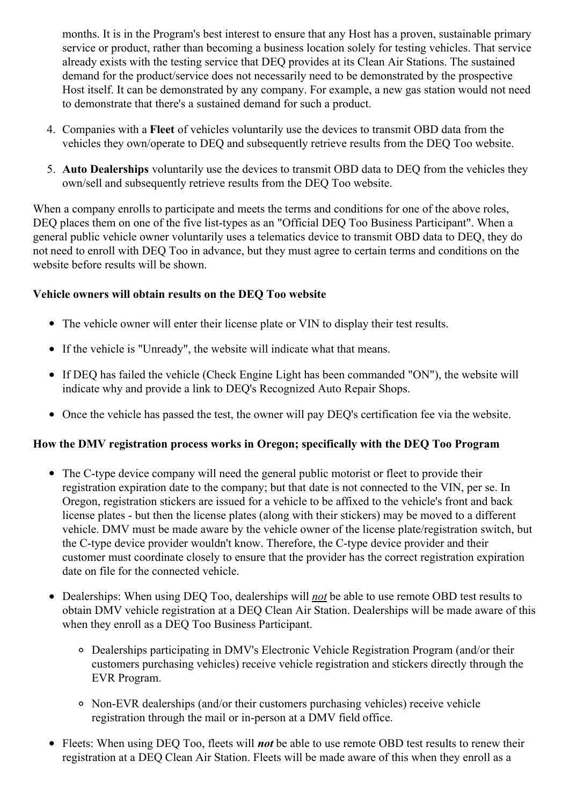months. It is in the Program's best interest to ensure that any Host has a proven, sustainable primary service or product, rather than becoming a business location solely for testing vehicles. That service already exists with the testing service that DEQ provides at its Clean Air Stations. The sustained demand for the product/service does not necessarily need to be demonstrated by the prospective Host itself. It can be demonstrated by any company. For example, a new gas station would not need to demonstrate that there's a sustained demand for such a product.

- 4. Companies with a **Fleet** of vehicles voluntarily use the devices to transmit OBD data from the vehicles they own/operate to DEQ and subsequently retrieve results from the DEQ Too website.
- 5. **Auto Dealerships** voluntarily use the devices to transmit OBD data to DEQ from the vehicles they own/sell and subsequently retrieve results from the DEQ Too website.

When a company enrolls to participate and meets the terms and conditions for one of the above roles, DEQ places them on one of the five list-types as an "Official DEQ Too Business Participant". When a general public vehicle owner voluntarily uses a telematics device to transmit OBD data to DEQ, they do not need to enroll with DEQ Too in advance, but they must agree to certain terms and conditions on the website before results will be shown.

#### **Vehicle owners will obtain results on the DEQ Too website**

- The vehicle owner will enter their license plate or VIN to display their test results.
- If the vehicle is "Unready", the website will indicate what that means.
- If DEQ has failed the vehicle (Check Engine Light has been commanded "ON"), the website will indicate why and provide a link to DEQ's Recognized Auto Repair Shops.
- Once the vehicle has passed the test, the owner will pay DEQ's certification fee via the website.

#### **How the DMV registration process works in Oregon; specifically with the DEQ Too Program**

- The C-type device company will need the general public motorist or fleet to provide their registration expiration date to the company; but that date is not connected to the VIN, per se. In Oregon, registration stickers are issued for a vehicle to be affixed to the vehicle's front and back license plates - but then the license plates (along with their stickers) may be moved to a different vehicle. DMV must be made aware by the vehicle owner of the license plate/registration switch, but the C-type device provider wouldn't know. Therefore, the C-type device provider and their customer must coordinate closely to ensure that the provider has the correct registration expiration date on file for the connected vehicle.
- Dealerships: When using DEQ Too, dealerships will *not* be able to use remote OBD test results to obtain DMV vehicle registration at a DEQ Clean Air Station. Dealerships will be made aware of this when they enroll as a DEQ Too Business Participant.
	- Dealerships participating in DMV's Electronic Vehicle Registration Program (and/or their customers purchasing vehicles) receive vehicle registration and stickers directly through the EVR Program.
	- Non-EVR dealerships (and/or their customers purchasing vehicles) receive vehicle registration through the mail or in-person at a DMV field office.
- Fleets: When using DEQ Too, fleets will *not* be able to use remote OBD test results to renew their registration at a DEQ Clean Air Station. Fleets will be made aware of this when they enroll as a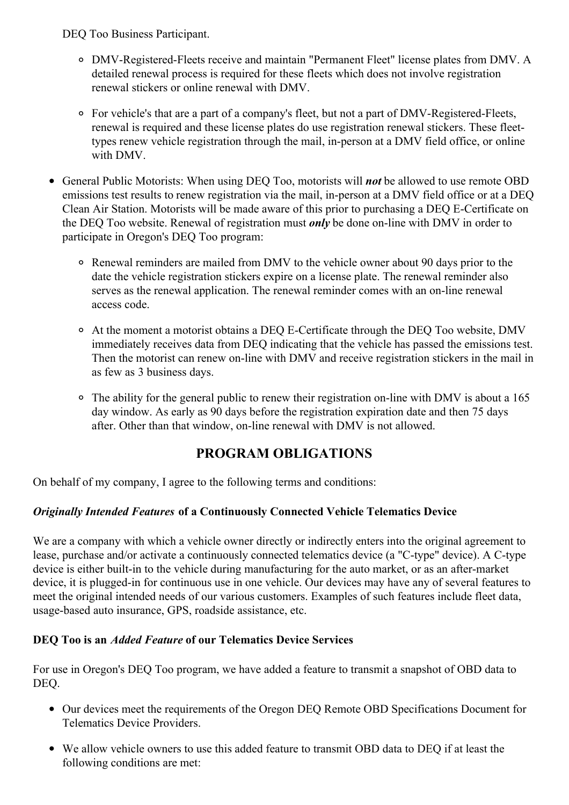DEQ Too Business Participant.

- DMV-Registered-Fleets receive and maintain "Permanent Fleet" license plates from DMV. A detailed renewal process is required for these fleets which does not involve registration renewal stickers or online renewal with DMV.
- For vehicle's that are a part of a company's fleet, but not a part of DMV-Registered-Fleets, renewal is required and these license plates do use registration renewal stickers. These fleettypes renew vehicle registration through the mail, in-person at a DMV field office, or online with DMV.
- General Public Motorists: When using DEQ Too, motorists will *not* be allowed to use remote OBD emissions test results to renew registration via the mail, in-person at a DMV field office or at a DEQ Clean Air Station. Motorists will be made aware of this prior to purchasing a DEQ E-Certificate on the DEQ Too website. Renewal of registration must *only* be done on-line with DMV in order to participate in Oregon's DEQ Too program:
	- Renewal reminders are mailed from DMV to the vehicle owner about 90 days prior to the date the vehicle registration stickers expire on a license plate. The renewal reminder also serves as the renewal application. The renewal reminder comes with an on-line renewal access code.
	- At the moment a motorist obtains a DEQ E-Certificate through the DEQ Too website, DMV immediately receives data from DEQ indicating that the vehicle has passed the emissions test. Then the motorist can renew on-line with DMV and receive registration stickers in the mail in as few as 3 business days.
	- The ability for the general public to renew their registration on-line with DMV is about a 165 day window. As early as 90 days before the registration expiration date and then 75 days after. Other than that window, on-line renewal with DMV is not allowed.

# **PROGRAM OBLIGATIONS**

On behalf of my company, I agree to the following terms and conditions:

## *Originally Intended Features* **of a Continuously Connected Vehicle Telematics Device**

We are a company with which a vehicle owner directly or indirectly enters into the original agreement to lease, purchase and/or activate a continuously connected telematics device (a "C-type" device). A C-type device is either built-in to the vehicle during manufacturing for the auto market, or as an after-market device, it is plugged-in for continuous use in one vehicle. Our devices may have any of several features to meet the original intended needs of our various customers. Examples of such features include fleet data, usage-based auto insurance, GPS, roadside assistance, etc.

## **DEQ Too is an** *Added Feature* **of our Telematics Device Services**

For use in Oregon's DEQ Too program, we have added a feature to transmit a snapshot of OBD data to DEQ.

- Our devices meet the requirements of the Oregon DEQ Remote OBD Specifications Document for Telematics Device Providers.
- We allow vehicle owners to use this added feature to transmit OBD data to DEQ if at least the following conditions are met: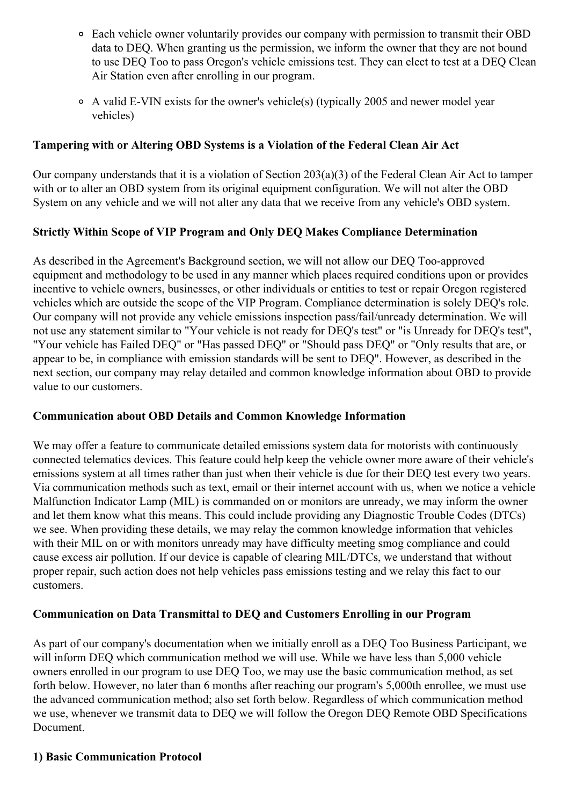- Each vehicle owner voluntarily provides our company with permission to transmit their OBD data to DEQ. When granting us the permission, we inform the owner that they are not bound to use DEQ Too to pass Oregon's vehicle emissions test. They can elect to test at a DEQ Clean Air Station even after enrolling in our program.
- A valid E-VIN exists for the owner's vehicle(s) (typically 2005 and newer model year vehicles)

#### **Tampering with or Altering OBD Systems is a Violation of the Federal Clean Air Act**

Our company understands that it is a violation of Section 203(a)(3) of the Federal Clean Air Act to tamper with or to alter an OBD system from its original equipment configuration. We will not alter the OBD System on any vehicle and we will not alter any data that we receive from any vehicle's OBD system.

## **Strictly Within Scope of VIP Program and Only DEQ Makes Compliance Determination**

As described in the Agreement's Background section, we will not allow our DEQ Too-approved equipment and methodology to be used in any manner which places required conditions upon or provides incentive to vehicle owners, businesses, or other individuals or entities to test or repair Oregon registered vehicles which are outside the scope of the VIP Program. Compliance determination is solely DEQ's role. Our company will not provide any vehicle emissions inspection pass/fail/unready determination. We will not use any statement similar to "Your vehicle is not ready for DEQ's test" or "is Unready for DEQ's test", "Your vehicle has Failed DEQ" or "Has passed DEQ" or "Should pass DEQ" or "Only results that are, or appear to be, in compliance with emission standards will be sent to DEQ". However, as described in the next section, our company may relay detailed and common knowledge information about OBD to provide value to our customers.

#### **Communication about OBD Details and Common Knowledge Information**

We may offer a feature to communicate detailed emissions system data for motorists with continuously connected telematics devices. This feature could help keep the vehicle owner more aware of their vehicle's emissions system at all times rather than just when their vehicle is due for their DEQ test every two years. Via communication methods such as text, email or their internet account with us, when we notice a vehicle Malfunction Indicator Lamp (MIL) is commanded on or monitors are unready, we may inform the owner and let them know what this means. This could include providing any Diagnostic Trouble Codes (DTCs) we see. When providing these details, we may relay the common knowledge information that vehicles with their MIL on or with monitors unready may have difficulty meeting smog compliance and could cause excess air pollution. If our device is capable of clearing MIL/DTCs, we understand that without proper repair, such action does not help vehicles pass emissions testing and we relay this fact to our customers.

#### **Communication on Data Transmittal to DEQ and Customers Enrolling in our Program**

As part of our company's documentation when we initially enroll as a DEQ Too Business Participant, we will inform DEO which communication method we will use. While we have less than 5,000 vehicle owners enrolled in our program to use DEQ Too, we may use the basic communication method, as set forth below. However, no later than 6 months after reaching our program's 5,000th enrollee, we must use the advanced communication method; also set forth below. Regardless of which communication method we use, whenever we transmit data to DEQ we will follow the Oregon DEQ Remote OBD Specifications Document.

#### **1) Basic Communication Protocol**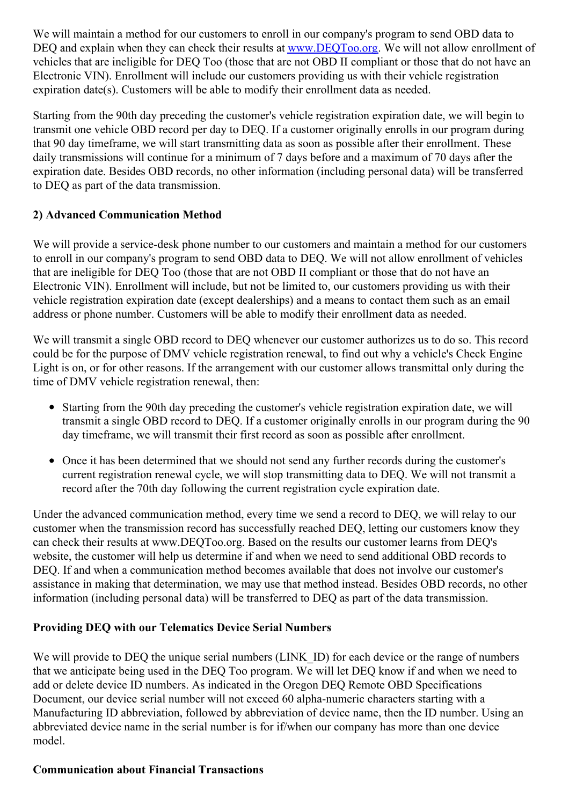We will maintain a method for our customers to enroll in our company's program to send OBD data to DEQ and explain when they can check their results at [www.DEQToo.org](http://www.deqtoo.org/). We will not allow enrollment of vehicles that are ineligible for DEQ Too (those that are not OBD II compliant or those that do not have an Electronic VIN). Enrollment will include our customers providing us with their vehicle registration expiration date(s). Customers will be able to modify their enrollment data as needed.

Starting from the 90th day preceding the customer's vehicle registration expiration date, we will begin to transmit one vehicle OBD record per day to DEQ. If a customer originally enrolls in our program during that 90 day timeframe, we will start transmitting data as soon as possible after their enrollment. These daily transmissions will continue for a minimum of 7 days before and a maximum of 70 days after the expiration date. Besides OBD records, no other information (including personal data) will be transferred to DEQ as part of the data transmission.

#### **2) Advanced Communication Method**

We will provide a service-desk phone number to our customers and maintain a method for our customers to enroll in our company's program to send OBD data to DEQ. We will not allow enrollment of vehicles that are ineligible for DEQ Too (those that are not OBD II compliant or those that do not have an Electronic VIN). Enrollment will include, but not be limited to, our customers providing us with their vehicle registration expiration date (except dealerships) and a means to contact them such as an email address or phone number. Customers will be able to modify their enrollment data as needed.

We will transmit a single OBD record to DEQ whenever our customer authorizes us to do so. This record could be for the purpose of DMV vehicle registration renewal, to find out why a vehicle's Check Engine Light is on, or for other reasons. If the arrangement with our customer allows transmittal only during the time of DMV vehicle registration renewal, then:

- Starting from the 90th day preceding the customer's vehicle registration expiration date, we will transmit a single OBD record to DEQ. If a customer originally enrolls in our program during the 90 day timeframe, we will transmit their first record as soon as possible after enrollment.
- Once it has been determined that we should not send any further records during the customer's current registration renewal cycle, we will stop transmitting data to DEQ. We will not transmit a record after the 70th day following the current registration cycle expiration date.

Under the advanced communication method, every time we send a record to DEQ, we will relay to our customer when the transmission record has successfully reached DEQ, letting our customers know they can check their results at www.DEQToo.org. Based on the results our customer learns from DEQ's website, the customer will help us determine if and when we need to send additional OBD records to DEQ. If and when a communication method becomes available that does not involve our customer's assistance in making that determination, we may use that method instead. Besides OBD records, no other information (including personal data) will be transferred to DEQ as part of the data transmission.

#### **Providing DEQ with our Telematics Device Serial Numbers**

We will provide to DEQ the unique serial numbers (LINK ID) for each device or the range of numbers that we anticipate being used in the DEQ Too program. We will let DEQ know if and when we need to add or delete device ID numbers. As indicated in the Oregon DEQ Remote OBD Specifications Document, our device serial number will not exceed 60 alpha-numeric characters starting with a Manufacturing ID abbreviation, followed by abbreviation of device name, then the ID number. Using an abbreviated device name in the serial number is for if/when our company has more than one device model.

#### **Communication about Financial Transactions**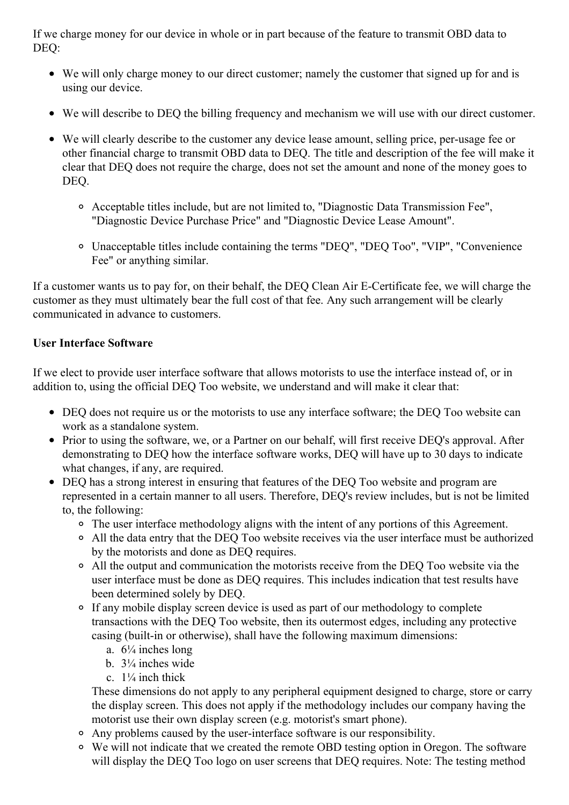If we charge money for our device in whole or in part because of the feature to transmit OBD data to DEQ:

- We will only charge money to our direct customer; namely the customer that signed up for and is using our device.
- We will describe to DEQ the billing frequency and mechanism we will use with our direct customer.
- We will clearly describe to the customer any device lease amount, selling price, per-usage fee or other financial charge to transmit OBD data to DEQ. The title and description of the fee will make it clear that DEQ does not require the charge, does not set the amount and none of the money goes to DEQ.
	- Acceptable titles include, but are not limited to, "Diagnostic Data Transmission Fee", "Diagnostic Device Purchase Price" and "Diagnostic Device Lease Amount".
	- Unacceptable titles include containing the terms "DEQ", "DEQ Too", "VIP", "Convenience Fee" or anything similar.

If a customer wants us to pay for, on their behalf, the DEQ Clean Air E-Certificate fee, we will charge the customer as they must ultimately bear the full cost of that fee. Any such arrangement will be clearly communicated in advance to customers.

#### **User Interface Software**

If we elect to provide user interface software that allows motorists to use the interface instead of, or in addition to, using the official DEQ Too website, we understand and will make it clear that:

- DEQ does not require us or the motorists to use any interface software; the DEQ Too website can work as a standalone system.
- Prior to using the software, we, or a Partner on our behalf, will first receive DEQ's approval. After demonstrating to DEQ how the interface software works, DEQ will have up to 30 days to indicate what changes, if any, are required.
- DEQ has a strong interest in ensuring that features of the DEQ Too website and program are represented in a certain manner to all users. Therefore, DEQ's review includes, but is not be limited to, the following:
	- The user interface methodology aligns with the intent of any portions of this Agreement.
	- All the data entry that the DEQ Too website receives via the user interface must be authorized by the motorists and done as DEQ requires.
	- All the output and communication the motorists receive from the DEQ Too website via the user interface must be done as DEQ requires. This includes indication that test results have been determined solely by DEQ.
	- If any mobile display screen device is used as part of our methodology to complete transactions with the DEQ Too website, then its outermost edges, including any protective casing (built-in or otherwise), shall have the following maximum dimensions:
		- a.  $6\frac{1}{4}$  inches long
		- b. 3¼ inches wide
		- c.  $1\frac{1}{4}$  inch thick

These dimensions do not apply to any peripheral equipment designed to charge, store or carry the display screen. This does not apply if the methodology includes our company having the motorist use their own display screen (e.g. motorist's smart phone).

- Any problems caused by the user-interface software is our responsibility.
- We will not indicate that we created the remote OBD testing option in Oregon. The software will display the DEQ Too logo on user screens that DEQ requires. Note: The testing method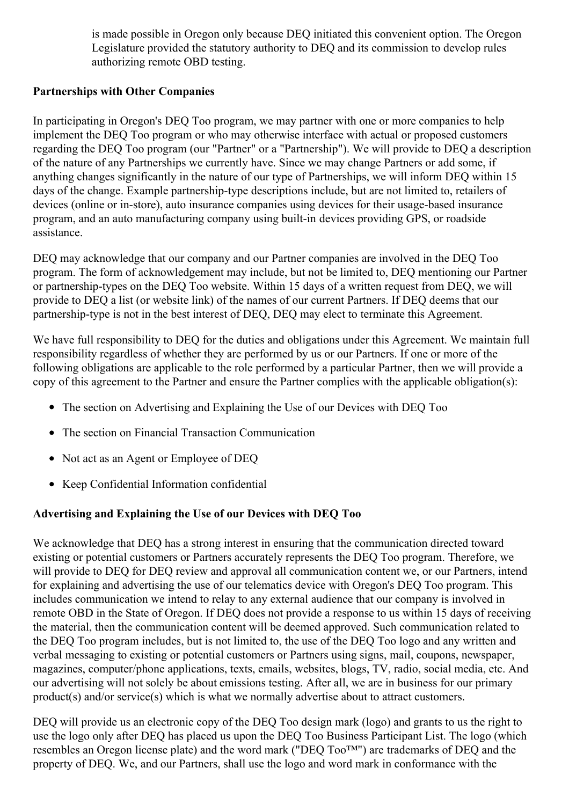is made possible in Oregon only because DEQ initiated this convenient option. The Oregon Legislature provided the statutory authority to DEQ and its commission to develop rules authorizing remote OBD testing.

#### **Partnerships with Other Companies**

In participating in Oregon's DEQ Too program, we may partner with one or more companies to help implement the DEQ Too program or who may otherwise interface with actual or proposed customers regarding the DEQ Too program (our "Partner" or a "Partnership"). We will provide to DEQ a description of the nature of any Partnerships we currently have. Since we may change Partners or add some, if anything changes significantly in the nature of our type of Partnerships, we will inform DEQ within 15 days of the change. Example partnership-type descriptions include, but are not limited to, retailers of devices (online or in-store), auto insurance companies using devices for their usage-based insurance program, and an auto manufacturing company using built-in devices providing GPS, or roadside assistance.

DEQ may acknowledge that our company and our Partner companies are involved in the DEQ Too program. The form of acknowledgement may include, but not be limited to, DEQ mentioning our Partner or partnership-types on the DEQ Too website. Within 15 days of a written request from DEQ, we will provide to DEQ a list (or website link) of the names of our current Partners. If DEQ deems that our partnership-type is not in the best interest of DEQ, DEQ may elect to terminate this Agreement.

We have full responsibility to DEQ for the duties and obligations under this Agreement. We maintain full responsibility regardless of whether they are performed by us or our Partners. If one or more of the following obligations are applicable to the role performed by a particular Partner, then we will provide a copy of this agreement to the Partner and ensure the Partner complies with the applicable obligation(s):

- The section on Advertising and Explaining the Use of our Devices with DEQ Too
- The section on Financial Transaction Communication
- Not act as an Agent or Employee of DEO
- Keep Confidential Information confidential

## **Advertising and Explaining the Use of our Devices with DEQ Too**

We acknowledge that DEQ has a strong interest in ensuring that the communication directed toward existing or potential customers or Partners accurately represents the DEQ Too program. Therefore, we will provide to DEO for DEO review and approval all communication content we, or our Partners, intend for explaining and advertising the use of our telematics device with Oregon's DEQ Too program. This includes communication we intend to relay to any external audience that our company is involved in remote OBD in the State of Oregon. If DEQ does not provide a response to us within 15 days of receiving the material, then the communication content will be deemed approved. Such communication related to the DEQ Too program includes, but is not limited to, the use of the DEQ Too logo and any written and verbal messaging to existing or potential customers or Partners using signs, mail, coupons, newspaper, magazines, computer/phone applications, texts, emails, websites, blogs, TV, radio, social media, etc. And our advertising will not solely be about emissions testing. After all, we are in business for our primary product(s) and/or service(s) which is what we normally advertise about to attract customers.

DEQ will provide us an electronic copy of the DEQ Too design mark (logo) and grants to us the right to use the logo only after DEQ has placed us upon the DEQ Too Business Participant List. The logo (which resembles an Oregon license plate) and the word mark ("DEQ Too™") are trademarks of DEQ and the property of DEQ. We, and our Partners, shall use the logo and word mark in conformance with the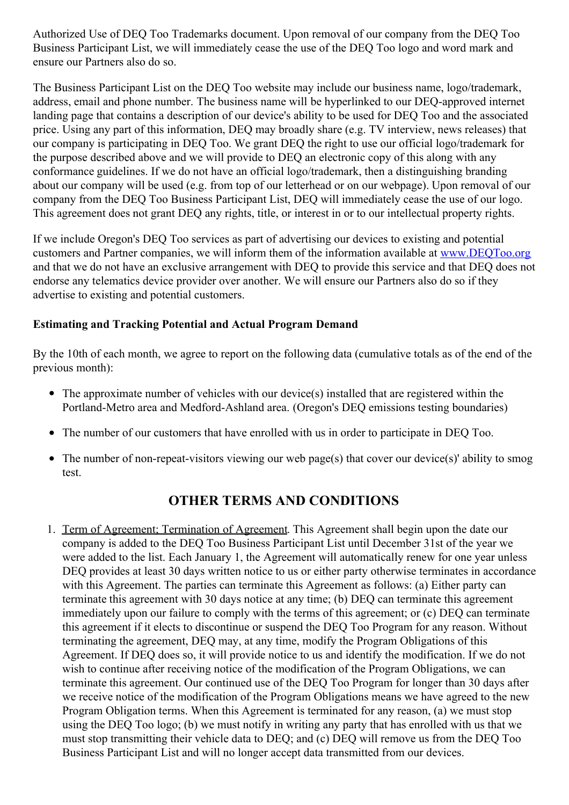Authorized Use of DEQ Too Trademarks document. Upon removal of our company from the DEQ Too Business Participant List, we will immediately cease the use of the DEQ Too logo and word mark and ensure our Partners also do so.

The Business Participant List on the DEQ Too website may include our business name, logo/trademark, address, email and phone number. The business name will be hyperlinked to our DEQ-approved internet landing page that contains a description of our device's ability to be used for DEQ Too and the associated price. Using any part of this information, DEQ may broadly share (e.g. TV interview, news releases) that our company is participating in DEQ Too. We grant DEQ the right to use our official logo/trademark for the purpose described above and we will provide to DEQ an electronic copy of this along with any conformance guidelines. If we do not have an official logo/trademark, then a distinguishing branding about our company will be used (e.g. from top of our letterhead or on our webpage). Upon removal of our company from the DEQ Too Business Participant List, DEQ will immediately cease the use of our logo. This agreement does not grant DEQ any rights, title, or interest in or to our intellectual property rights.

If we include Oregon's DEQ Too services as part of advertising our devices to existing and potential customers and Partner companies, we will inform them of the information available at [www.DEQToo.org](http://www.deqtoo.org/) and that we do not have an exclusive arrangement with DEQ to provide this service and that DEQ does not endorse any telematics device provider over another. We will ensure our Partners also do so if they advertise to existing and potential customers.

#### **Estimating and Tracking Potential and Actual Program Demand**

By the 10th of each month, we agree to report on the following data (cumulative totals as of the end of the previous month):

- The approximate number of vehicles with our device(s) installed that are registered within the Portland-Metro area and Medford-Ashland area. (Oregon's DEQ emissions testing boundaries)
- The number of our customers that have enrolled with us in order to participate in DEQ Too.
- The number of non-repeat-visitors viewing our web page(s) that cover our device(s)' ability to smog test.

# **OTHER TERMS AND CONDITIONS**

1. Term of Agreement; Termination of Agreement. This Agreement shall begin upon the date our company is added to the DEQ Too Business Participant List until December 31st of the year we were added to the list. Each January 1, the Agreement will automatically renew for one year unless DEO provides at least 30 days written notice to us or either party otherwise terminates in accordance with this Agreement. The parties can terminate this Agreement as follows: (a) Either party can terminate this agreement with 30 days notice at any time; (b) DEQ can terminate this agreement immediately upon our failure to comply with the terms of this agreement; or (c) DEQ can terminate this agreement if it elects to discontinue or suspend the DEQ Too Program for any reason. Without terminating the agreement, DEQ may, at any time, modify the Program Obligations of this Agreement. If DEQ does so, it will provide notice to us and identify the modification. If we do not wish to continue after receiving notice of the modification of the Program Obligations, we can terminate this agreement. Our continued use of the DEQ Too Program for longer than 30 days after we receive notice of the modification of the Program Obligations means we have agreed to the new Program Obligation terms. When this Agreement is terminated for any reason, (a) we must stop using the DEQ Too logo; (b) we must notify in writing any party that has enrolled with us that we must stop transmitting their vehicle data to DEQ; and (c) DEQ will remove us from the DEQ Too Business Participant List and will no longer accept data transmitted from our devices.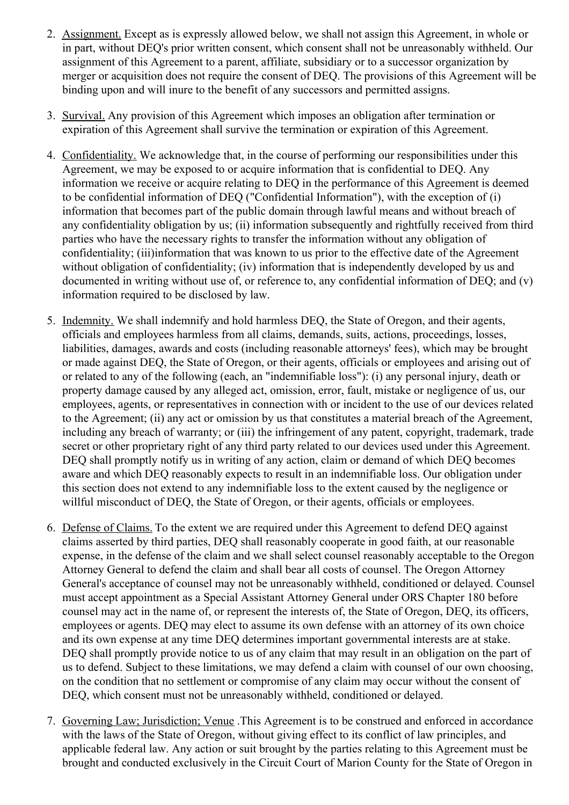- 2. Assignment. Except as is expressly allowed below, we shall not assign this Agreement, in whole or in part, without DEQ's prior written consent, which consent shall not be unreasonably withheld. Our assignment of this Agreement to a parent, affiliate, subsidiary or to a successor organization by merger or acquisition does not require the consent of DEQ. The provisions of this Agreement will be binding upon and will inure to the benefit of any successors and permitted assigns.
- 3. Survival. Any provision of this Agreement which imposes an obligation after termination or expiration of this Agreement shall survive the termination or expiration of this Agreement.
- 4. Confidentiality. We acknowledge that, in the course of performing our responsibilities under this Agreement, we may be exposed to or acquire information that is confidential to DEQ. Any information we receive or acquire relating to DEQ in the performance of this Agreement is deemed to be confidential information of DEQ ("Confidential Information"), with the exception of (i) information that becomes part of the public domain through lawful means and without breach of any confidentiality obligation by us; (ii) information subsequently and rightfully received from third parties who have the necessary rights to transfer the information without any obligation of confidentiality; (iii)information that was known to us prior to the effective date of the Agreement without obligation of confidentiality; (iv) information that is independently developed by us and documented in writing without use of, or reference to, any confidential information of DEQ; and (v) information required to be disclosed by law.
- 5. Indemnity. We shall indemnify and hold harmless DEQ, the State of Oregon, and their agents, officials and employees harmless from all claims, demands, suits, actions, proceedings, losses, liabilities, damages, awards and costs (including reasonable attorneys' fees), which may be brought or made against DEQ, the State of Oregon, or their agents, officials or employees and arising out of or related to any of the following (each, an "indemnifiable loss"): (i) any personal injury, death or property damage caused by any alleged act, omission, error, fault, mistake or negligence of us, our employees, agents, or representatives in connection with or incident to the use of our devices related to the Agreement; (ii) any act or omission by us that constitutes a material breach of the Agreement, including any breach of warranty; or (iii) the infringement of any patent, copyright, trademark, trade secret or other proprietary right of any third party related to our devices used under this Agreement. DEQ shall promptly notify us in writing of any action, claim or demand of which DEQ becomes aware and which DEQ reasonably expects to result in an indemnifiable loss. Our obligation under this section does not extend to any indemnifiable loss to the extent caused by the negligence or willful misconduct of DEQ, the State of Oregon, or their agents, officials or employees.
- 6. Defense of Claims. To the extent we are required under this Agreement to defend DEQ against claims asserted by third parties, DEQ shall reasonably cooperate in good faith, at our reasonable expense, in the defense of the claim and we shall select counsel reasonably acceptable to the Oregon Attorney General to defend the claim and shall bear all costs of counsel. The Oregon Attorney General's acceptance of counsel may not be unreasonably withheld, conditioned or delayed. Counsel must accept appointment as a Special Assistant Attorney General under ORS Chapter 180 before counsel may act in the name of, or represent the interests of, the State of Oregon, DEQ, its officers, employees or agents. DEQ may elect to assume its own defense with an attorney of its own choice and its own expense at any time DEQ determines important governmental interests are at stake. DEQ shall promptly provide notice to us of any claim that may result in an obligation on the part of us to defend. Subject to these limitations, we may defend a claim with counsel of our own choosing, on the condition that no settlement or compromise of any claim may occur without the consent of DEQ, which consent must not be unreasonably withheld, conditioned or delayed.
- 7. Governing Law; Jurisdiction; Venue .This Agreement is to be construed and enforced in accordance with the laws of the State of Oregon, without giving effect to its conflict of law principles, and applicable federal law. Any action or suit brought by the parties relating to this Agreement must be brought and conducted exclusively in the Circuit Court of Marion County for the State of Oregon in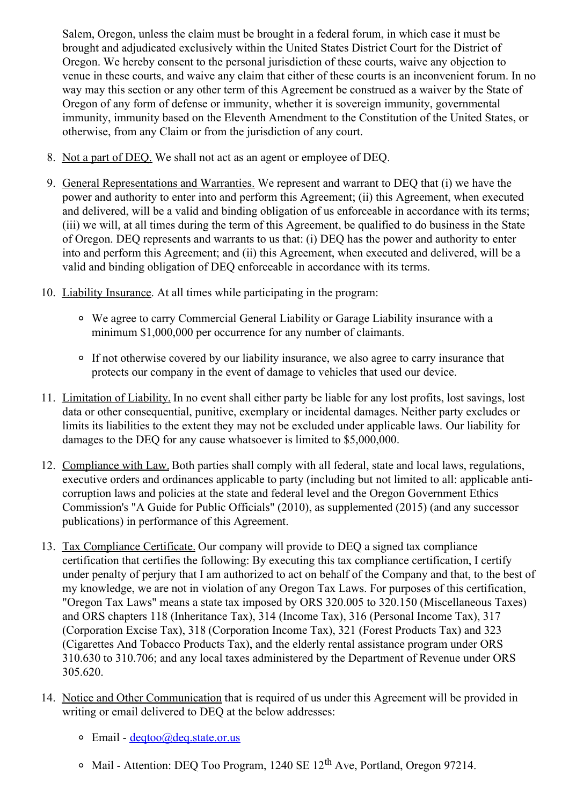Salem, Oregon, unless the claim must be brought in a federal forum, in which case it must be brought and adjudicated exclusively within the United States District Court for the District of Oregon. We hereby consent to the personal jurisdiction of these courts, waive any objection to venue in these courts, and waive any claim that either of these courts is an inconvenient forum. In no way may this section or any other term of this Agreement be construed as a waiver by the State of Oregon of any form of defense or immunity, whether it is sovereign immunity, governmental immunity, immunity based on the Eleventh Amendment to the Constitution of the United States, or otherwise, from any Claim or from the jurisdiction of any court.

- 8. Not a part of DEQ. We shall not act as an agent or employee of DEQ.
- 9. General Representations and Warranties. We represent and warrant to DEQ that (i) we have the power and authority to enter into and perform this Agreement; (ii) this Agreement, when executed and delivered, will be a valid and binding obligation of us enforceable in accordance with its terms; (iii) we will, at all times during the term of this Agreement, be qualified to do business in the State of Oregon. DEQ represents and warrants to us that: (i) DEQ has the power and authority to enter into and perform this Agreement; and (ii) this Agreement, when executed and delivered, will be a valid and binding obligation of DEQ enforceable in accordance with its terms.
- 10. Liability Insurance. At all times while participating in the program:
	- We agree to carry Commercial General Liability or Garage Liability insurance with a minimum \$1,000,000 per occurrence for any number of claimants.
	- If not otherwise covered by our liability insurance, we also agree to carry insurance that protects our company in the event of damage to vehicles that used our device.
- 11. Limitation of Liability. In no event shall either party be liable for any lost profits, lost savings, lost data or other consequential, punitive, exemplary or incidental damages. Neither party excludes or limits its liabilities to the extent they may not be excluded under applicable laws. Our liability for damages to the DEQ for any cause whatsoever is limited to \$5,000,000.
- 12. Compliance with Law. Both parties shall comply with all federal, state and local laws, regulations, executive orders and ordinances applicable to party (including but not limited to all: applicable anticorruption laws and policies at the state and federal level and the Oregon Government Ethics Commission's "A Guide for Public Officials" (2010), as supplemented (2015) (and any successor publications) in performance of this Agreement.
- 13. Tax Compliance Certificate. Our company will provide to DEQ a signed tax compliance certification that certifies the following: By executing this tax compliance certification, I certify under penalty of perjury that I am authorized to act on behalf of the Company and that, to the best of my knowledge, we are not in violation of any Oregon Tax Laws. For purposes of this certification, "Oregon Tax Laws" means a state tax imposed by ORS 320.005 to 320.150 (Miscellaneous Taxes) and ORS chapters 118 (Inheritance Tax), 314 (Income Tax), 316 (Personal Income Tax), 317 (Corporation Excise Tax), 318 (Corporation Income Tax), 321 (Forest Products Tax) and 323 (Cigarettes And Tobacco Products Tax), and the elderly rental assistance program under ORS 310.630 to 310.706; and any local taxes administered by the Department of Revenue under ORS 305.620.
- 14. Notice and Other Communication that is required of us under this Agreement will be provided in writing or email delivered to DEQ at the below addresses:
	- $\circ$  Email degtoo@deq.state.or.us
	- Mail Attention: DEQ Too Program, 1240 SE 12<sup>th</sup> Ave, Portland, Oregon 97214.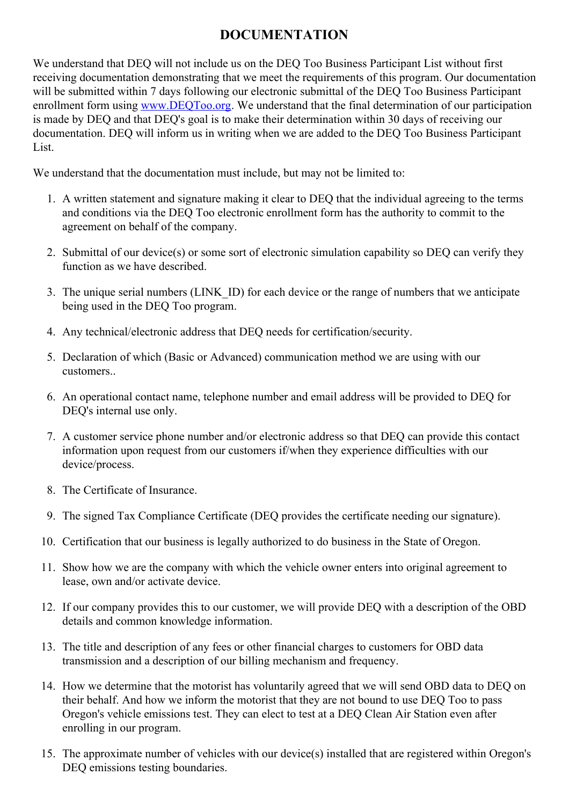# **DOCUMENTATION**

We understand that DEQ will not include us on the DEQ Too Business Participant List without first receiving documentation demonstrating that we meet the requirements of this program. Our documentation will be submitted within 7 days following our electronic submittal of the DEO Too Business Participant enrollment form using [www.DEQToo.org](http://www.deqtoo.org/). We understand that the final determination of our participation is made by DEQ and that DEQ's goal is to make their determination within 30 days of receiving our documentation. DEQ will inform us in writing when we are added to the DEQ Too Business Participant List.

We understand that the documentation must include, but may not be limited to:

- 1. A written statement and signature making it clear to DEQ that the individual agreeing to the terms and conditions via the DEQ Too electronic enrollment form has the authority to commit to the agreement on behalf of the company.
- 2. Submittal of our device(s) or some sort of electronic simulation capability so DEQ can verify they function as we have described.
- 3. The unique serial numbers (LINK\_ID) for each device or the range of numbers that we anticipate being used in the DEQ Too program.
- 4. Any technical/electronic address that DEQ needs for certification/security.
- 5. Declaration of which (Basic or Advanced) communication method we are using with our customers..
- 6. An operational contact name, telephone number and email address will be provided to DEQ for DEQ's internal use only.
- 7. A customer service phone number and/or electronic address so that DEQ can provide this contact information upon request from our customers if/when they experience difficulties with our device/process.
- 8. The Certificate of Insurance.
- 9. The signed Tax Compliance Certificate (DEQ provides the certificate needing our signature).
- 10. Certification that our business is legally authorized to do business in the State of Oregon.
- 11. Show how we are the company with which the vehicle owner enters into original agreement to lease, own and/or activate device.
- 12. If our company provides this to our customer, we will provide DEQ with a description of the OBD details and common knowledge information.
- 13. The title and description of any fees or other financial charges to customers for OBD data transmission and a description of our billing mechanism and frequency.
- 14. How we determine that the motorist has voluntarily agreed that we will send OBD data to DEQ on their behalf. And how we inform the motorist that they are not bound to use DEQ Too to pass Oregon's vehicle emissions test. They can elect to test at a DEQ Clean Air Station even after enrolling in our program.
- 15. The approximate number of vehicles with our device(s) installed that are registered within Oregon's DEQ emissions testing boundaries.